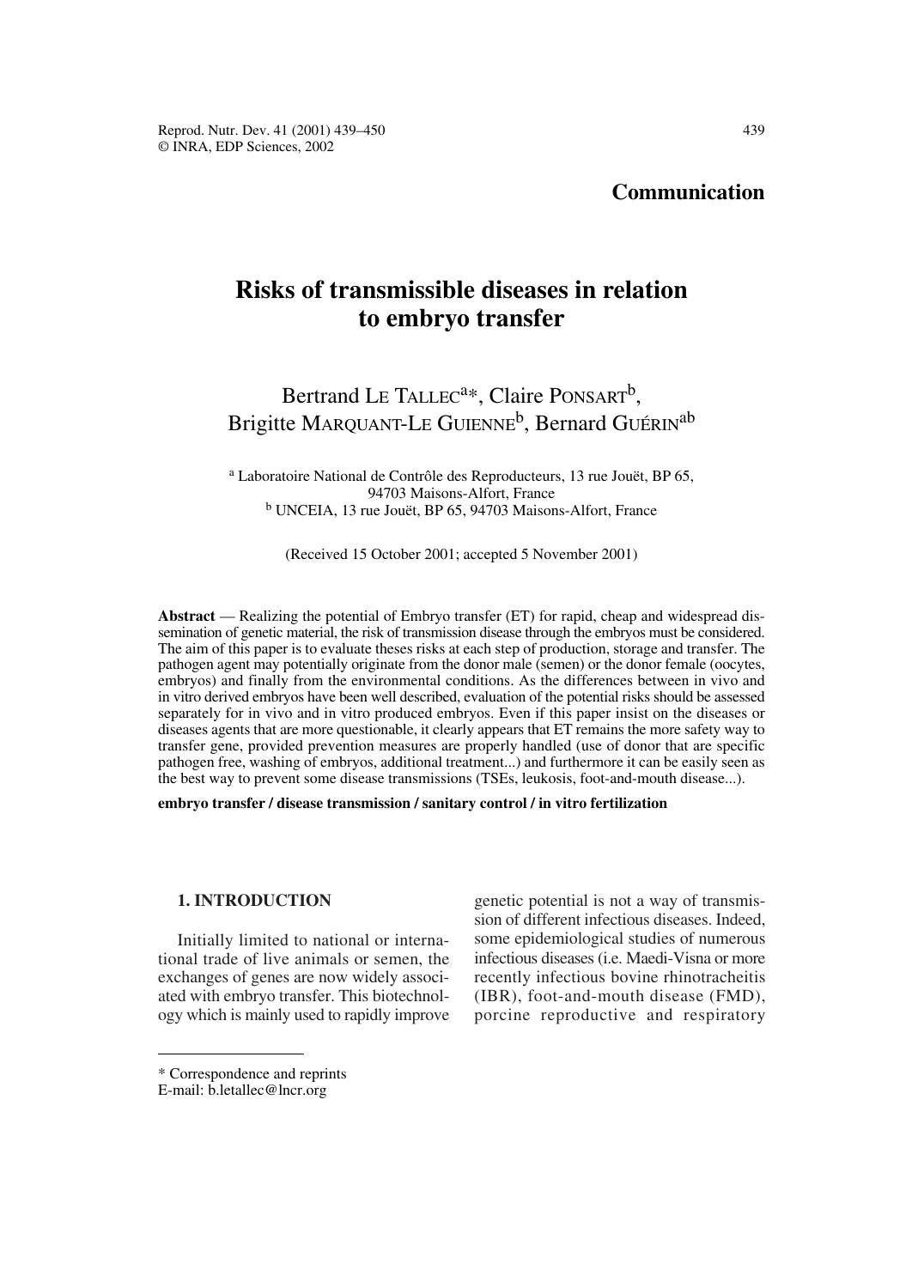# **Risks of transmissible diseases in relation to embryo transfer**

Bertrand LE TALLEC<sup>a\*</sup>, Claire PONSART<sup>b</sup>, Brigitte MARQUANT-LE GUIENNE<sup>b</sup>, Bernard GUÉRIN<sup>ab</sup>

<sup>a</sup> Laboratoire National de Contrôle des Reproducteurs, 13 rue Jouët, BP 65, 94703 Maisons-Alfort, France <sup>b</sup> UNCEIA, 13 rue Jouët, BP 65, 94703 Maisons-Alfort, France

(Received 15 October 2001; accepted 5 November 2001)

**Abstract** — Realizing the potential of Embryo transfer (ET) for rapid, cheap and widespread dissemination of genetic material, the risk of transmission disease through the embryos must be considered. The aim of this paper is to evaluate theses risks at each step of production, storage and transfer. The pathogen agent may potentially originate from the donor male (semen) or the donor female (oocytes, embryos) and finally from the environmental conditions. As the differences between in vivo and in vitro derived embryos have been well described, evaluation of the potential risks should be assessed separately for in vivo and in vitro produced embryos. Even if this paper insist on the diseases or diseases agents that are more questionable, it clearly appears that ET remains the more safety way to transfer gene, provided prevention measures are properly handled (use of donor that are specific pathogen free, washing of embryos, additional treatment...) and furthermore it can be easily seen as the best way to prevent some disease transmissions (TSEs, leukosis, foot-and-mouth disease...).

**embryo transfer / disease transmission / sanitary control / in vitro fertilization**

## **1. INTRODUCTION**

Initially limited to national or international trade of live animals or semen, the exchanges of genes are now widely associated with embryo transfer. This biotechnology which is mainly used to rapidly improve

genetic potential is not a way of transmission of different infectious diseases. Indeed, some epidemiological studies of numerous infectious diseases (i.e. Maedi-Visna or more recently infectious bovine rhinotracheitis (IBR), foot-and-mouth disease (FMD), porcine reproductive and respiratory

<sup>\*</sup> Correspondence and reprints

E-mail: b.letallec@lncr.org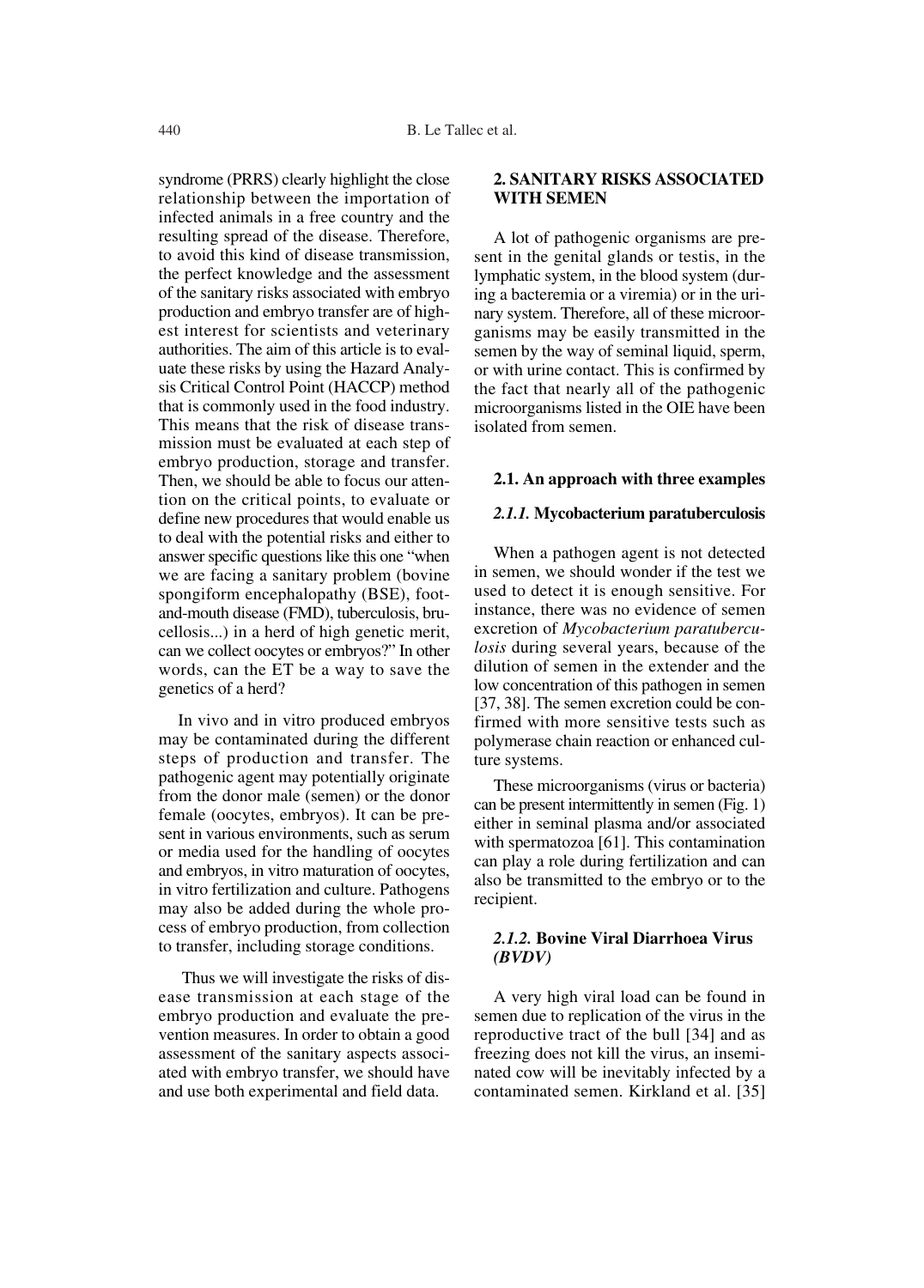syndrome (PRRS) clearly highlight the close relationship between the importation of infected animals in a free country and the resulting spread of the disease. Therefore, to avoid this kind of disease transmission, the perfect knowledge and the assessment of the sanitary risks associated with embryo production and embryo transfer are of highest interest for scientists and veterinary authorities. The aim of this article is to evaluate these risks by using the Hazard Analysis Critical Control Point (HACCP) method that is commonly used in the food industry. This means that the risk of disease transmission must be evaluated at each step of embryo production, storage and transfer. Then, we should be able to focus our attention on the critical points, to evaluate or define new procedures that would enable us to deal with the potential risks and either to answer specific questions like this one "when we are facing a sanitary problem (bovine spongiform encephalopathy (BSE), footand-mouth disease (FMD), tuberculosis, brucellosis...) in a herd of high genetic merit, can we collect oocytes or embryos?" In other words, can the ET be a way to save the genetics of a herd?

In vivo and in vitro produced embryos may be contaminated during the different steps of production and transfer. The pathogenic agent may potentially originate from the donor male (semen) or the donor female (oocytes, embryos). It can be present in various environments, such as serum or media used for the handling of oocytes and embryos, in vitro maturation of oocytes, in vitro fertilization and culture. Pathogens may also be added during the whole process of embryo production, from collection to transfer, including storage conditions.

Thus we will investigate the risks of disease transmission at each stage of the embryo production and evaluate the prevention measures. In order to obtain a good assessment of the sanitary aspects associated with embryo transfer, we should have and use both experimental and field data.

# **2. SANITARY RISKS ASSOCIATED WITH SEMEN**

A lot of pathogenic organisms are present in the genital glands or testis, in the lymphatic system, in the blood system (during a bacteremia or a viremia) or in the urinary system. Therefore, all of these microorganisms may be easily transmitted in the semen by the way of seminal liquid, sperm, or with urine contact. This is confirmed by the fact that nearly all of the pathogenic microorganisms listed in the OIE have been isolated from semen.

#### **2.1. An approach with three examples**

#### *2.1.1.* **Mycobacterium paratuberculosis**

When a pathogen agent is not detected in semen, we should wonder if the test we used to detect it is enough sensitive. For instance, there was no evidence of semen excretion of *Mycobacterium paratuberculosis* during several years, because of the dilution of semen in the extender and the low concentration of this pathogen in semen [37, 38]. The semen excretion could be confirmed with more sensitive tests such as polymerase chain reaction or enhanced culture systems.

These microorganisms (virus or bacteria) can be present intermittently in semen (Fig. 1) either in seminal plasma and/or associated with spermatozoa [61]. This contamination can play a role during fertilization and can also be transmitted to the embryo or to the recipient.

# *2.1.2.* **Bovine Viral Diarrhoea Virus** *(BVDV)*

A very high viral load can be found in semen due to replication of the virus in the reproductive tract of the bull [34] and as freezing does not kill the virus, an inseminated cow will be inevitably infected by a contaminated semen. Kirkland et al. [35]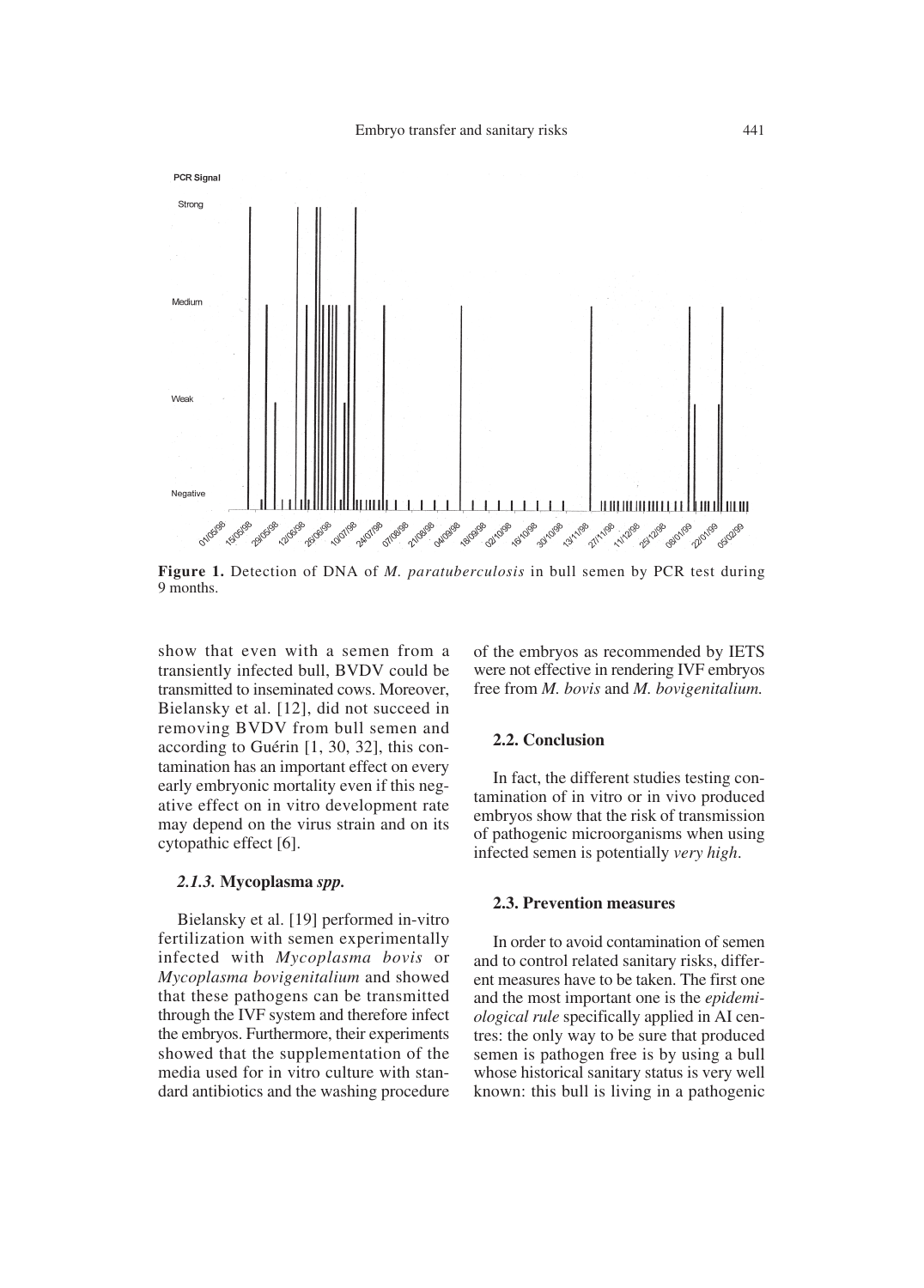

**Figure 1.** Detection of DNA of *M. paratuberculosis* in bull semen by PCR test during 9 months.

show that even with a semen from a transiently infected bull, BVDV could be transmitted to inseminated cows. Moreover, Bielansky et al. [12], did not succeed in removing BVDV from bull semen and according to Guérin [1, 30, 32], this contamination has an important effect on every early embryonic mortality even if this negative effect on in vitro development rate may depend on the virus strain and on its cytopathic effect [6].

#### *2.1.3.* **Mycoplasma** *spp.*

Bielansky et al. [19] performed in-vitro fertilization with semen experimentally infected with *Mycoplasma bovis* or *Mycoplasma bovigenitalium* and showed that these pathogens can be transmitted through the IVF system and therefore infect the embryos. Furthermore, their experiments showed that the supplementation of the media used for in vitro culture with standard antibiotics and the washing procedure of the embryos as recommended by IETS were not effective in rendering IVF embryos free from *M. bovis* and *M. bovigenitalium.*

#### **2.2. Conclusion**

In fact, the different studies testing contamination of in vitro or in vivo produced embryos show that the risk of transmission of pathogenic microorganisms when using infected semen is potentially *very high*.

#### **2.3. Prevention measures**

In order to avoid contamination of semen and to control related sanitary risks, different measures have to be taken. The first one and the most important one is the *epidemiological rule* specifically applied in AI centres: the only way to be sure that produced semen is pathogen free is by using a bull whose historical sanitary status is very well known: this bull is living in a pathogenic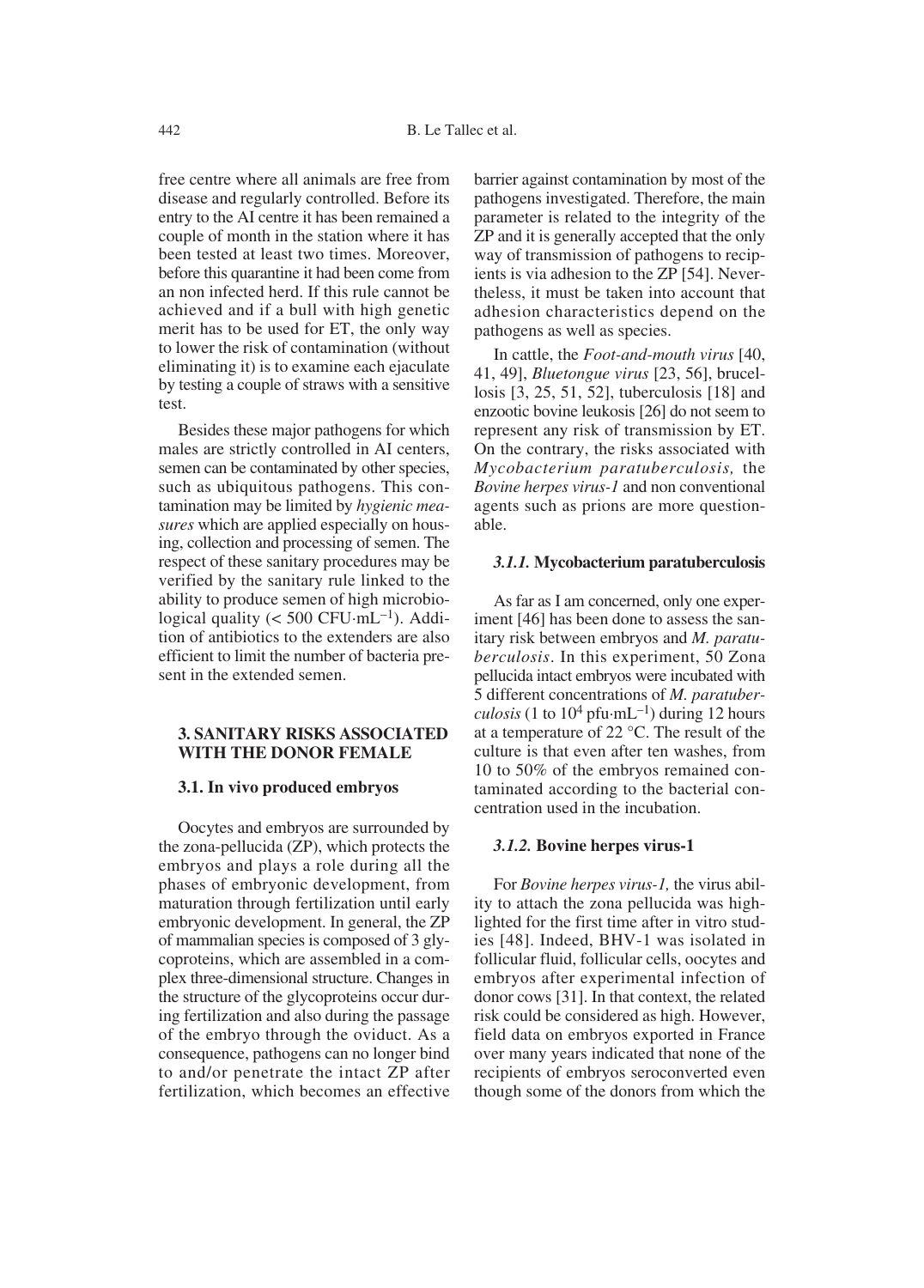free centre where all animals are free from disease and regularly controlled. Before its entry to the AI centre it has been remained a couple of month in the station where it has been tested at least two times. Moreover, before this quarantine it had been come from an non infected herd. If this rule cannot be achieved and if a bull with high genetic merit has to be used for ET, the only way to lower the risk of contamination (without eliminating it) is to examine each ejaculate by testing a couple of straws with a sensitive test.

Besides these major pathogens for which males are strictly controlled in AI centers, semen can be contaminated by other species, such as ubiquitous pathogens. This contamination may be limited by *hygienic measures* which are applied especially on housing, collection and processing of semen. The respect of these sanitary procedures may be verified by the sanitary rule linked to the ability to produce semen of high microbiological quality ( $<$  500 CFU·mL<sup>-1</sup>). Addition of antibiotics to the extenders are also efficient to limit the number of bacteria present in the extended semen.

# **3. SANITARY RISKS ASSOCIATED WITH THE DONOR FEMALE**

#### **3.1. In vivo produced embryos**

Oocytes and embryos are surrounded by the zona-pellucida (ZP), which protects the embryos and plays a role during all the phases of embryonic development, from maturation through fertilization until early embryonic development. In general, the ZP of mammalian species is composed of 3 glycoproteins, which are assembled in a complex three-dimensional structure. Changes in the structure of the glycoproteins occur during fertilization and also during the passage of the embryo through the oviduct. As a consequence, pathogens can no longer bind to and/or penetrate the intact ZP after fertilization, which becomes an effective barrier against contamination by most of the pathogens investigated. Therefore, the main parameter is related to the integrity of the ZP and it is generally accepted that the only way of transmission of pathogens to recipients is via adhesion to the ZP [54]. Nevertheless, it must be taken into account that adhesion characteristics depend on the pathogens as well as species.

In cattle, the *Foot-and-mouth virus* [40, 41, 49], *Bluetongue virus* [23, 56], brucellosis [3, 25, 51, 52], tuberculosis [18] and enzootic bovine leukosis [26] do not seem to represent any risk of transmission by ET. On the contrary, the risks associated with *Mycobacterium paratuberculosis,* the *Bovine herpes virus-1* and non conventional agents such as prions are more questionable.

#### *3.1.1.* **Mycobacterium paratuberculosis**

As far as I am concerned, only one experiment [46] has been done to assess the sanitary risk between embryos and *M. paratuberculosis*. In this experiment, 50 Zona pellucida intact embryos were incubated with 5 different concentrations of *M. paratuberculosis* (1 to  $10^4$  pfu $\cdot$ mL<sup>-1</sup>) during 12 hours at a temperature of 22 °C. The result of the culture is that even after ten washes, from 10 to 50% of the embryos remained contaminated according to the bacterial concentration used in the incubation.

#### *3.1.2.* **Bovine herpes virus-1**

For *Bovine herpes virus-1,* the virus ability to attach the zona pellucida was highlighted for the first time after in vitro studies [48]. Indeed, BHV-1 was isolated in follicular fluid, follicular cells, oocytes and embryos after experimental infection of donor cows [31]. In that context, the related risk could be considered as high. However, field data on embryos exported in France over many years indicated that none of the recipients of embryos seroconverted even though some of the donors from which the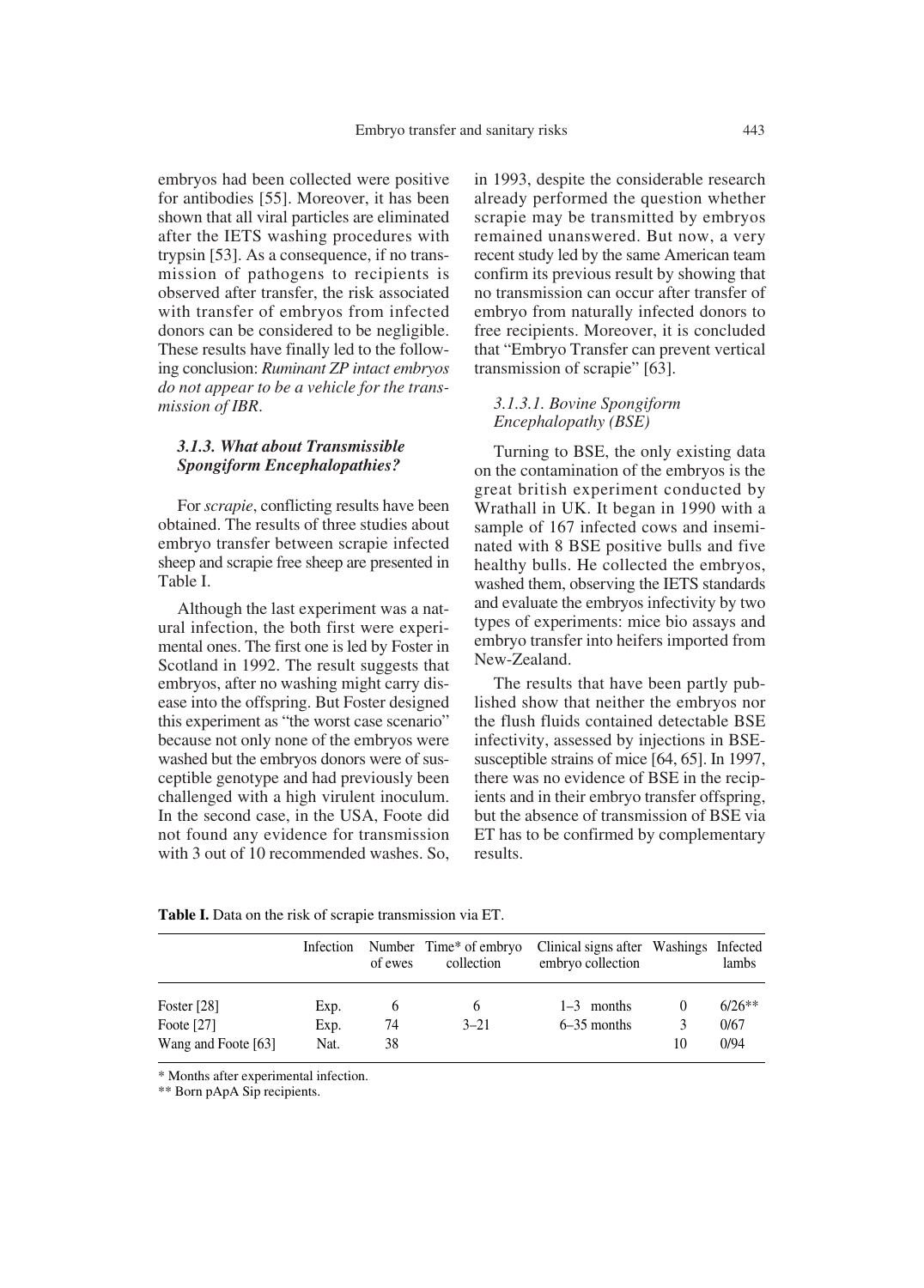embryos had been collected were positive for antibodies [55]. Moreover, it has been shown that all viral particles are eliminated after the IETS washing procedures with trypsin [53]. As a consequence, if no transmission of pathogens to recipients is observed after transfer, the risk associated with transfer of embryos from infected donors can be considered to be negligible. These results have finally led to the following conclusion: *Ruminant ZP intact embryos do not appear to be a vehicle for the transmission of IBR*.

# *3.1.3. What about Transmissible Spongiform Encephalopathies?*

For *scrapie*, conflicting results have been obtained. The results of three studies about embryo transfer between scrapie infected sheep and scrapie free sheep are presented in Table I.

Although the last experiment was a natural infection, the both first were experimental ones. The first one is led by Foster in Scotland in 1992. The result suggests that embryos, after no washing might carry disease into the offspring. But Foster designed this experiment as "the worst case scenario" because not only none of the embryos were washed but the embryos donors were of susceptible genotype and had previously been challenged with a high virulent inoculum. In the second case, in the USA, Foote did not found any evidence for transmission with 3 out of 10 recommended washes. So, in 1993, despite the considerable research already performed the question whether scrapie may be transmitted by embryos remained unanswered. But now, a very recent study led by the same American team confirm its previous result by showing that no transmission can occur after transfer of embryo from naturally infected donors to free recipients. Moreover, it is concluded that "Embryo Transfer can prevent vertical transmission of scrapie" [63].

# *3.1.3.1. Bovine Spongiform Encephalopathy (BSE)*

Turning to BSE, the only existing data on the contamination of the embryos is the great british experiment conducted by Wrathall in UK. It began in 1990 with a sample of 167 infected cows and inseminated with 8 BSE positive bulls and five healthy bulls. He collected the embryos, washed them, observing the IETS standards and evaluate the embryos infectivity by two types of experiments: mice bio assays and embryo transfer into heifers imported from New-Zealand.

The results that have been partly published show that neither the embryos nor the flush fluids contained detectable BSE infectivity, assessed by injections in BSEsusceptible strains of mice [64, 65]. In 1997, there was no evidence of BSE in the recipients and in their embryo transfer offspring, but the absence of transmission of BSE via ET has to be confirmed by complementary results.

|                                   | Infection    | of ewes  | Number Time* of embryo<br>collection | Clinical signs after Washings Infected<br>embryo collection |    | lambs        |
|-----------------------------------|--------------|----------|--------------------------------------|-------------------------------------------------------------|----|--------------|
| Foster $[28]$                     | Exp.         | O        |                                      | $1-3$ months                                                |    | $6/26**$     |
| Foote [27]<br>Wang and Foote [63] | Exp.<br>Nat. | 74<br>38 | $3 - 21$                             | $6-35$ months                                               | 10 | 0/67<br>0/94 |

**Table I.** Data on the risk of scrapie transmission via ET.

\* Months after experimental infection.

\*\* Born pApA Sip recipients.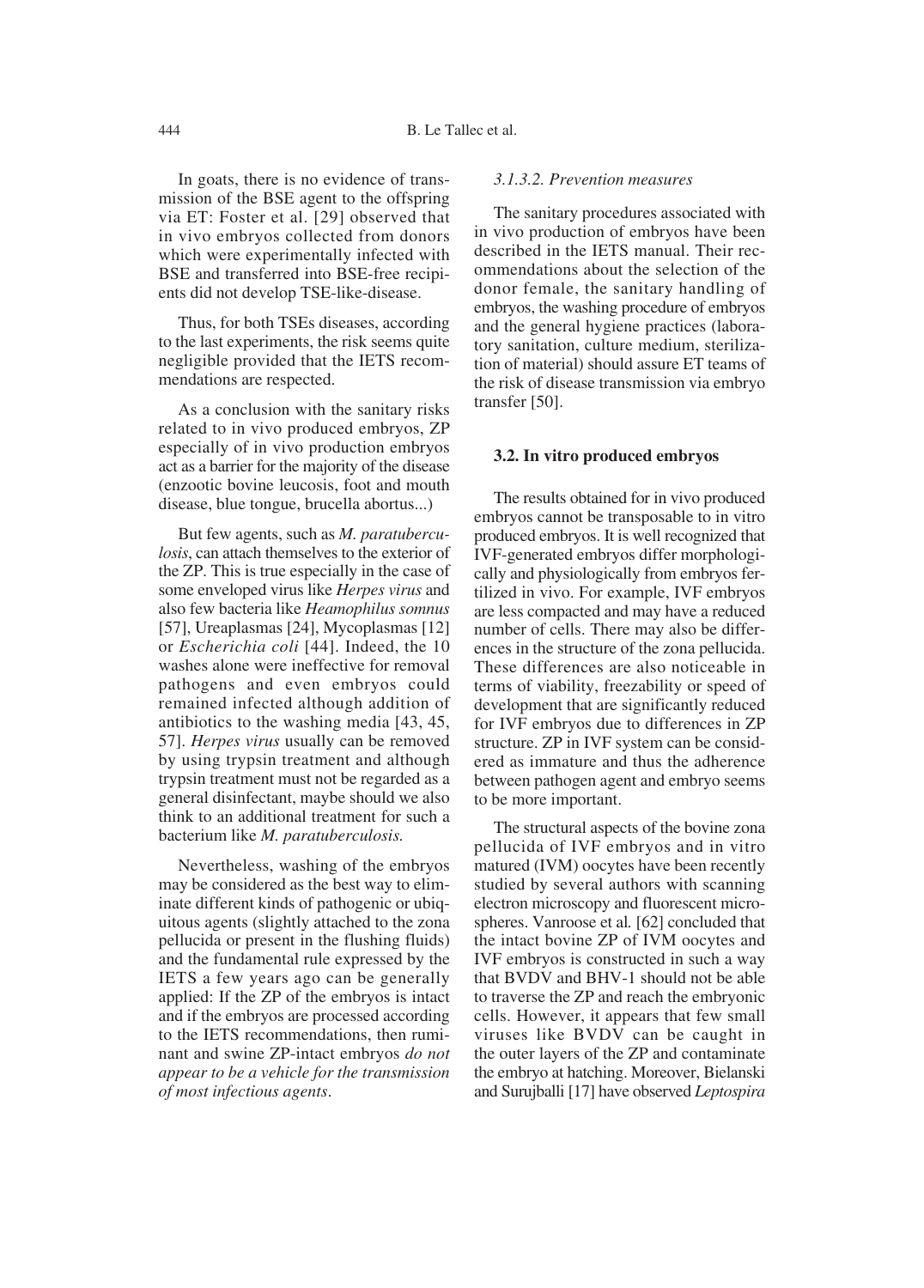In goats, there is no evidence of transmission of the BSE agent to the offspring via ET: Foster et al. [29] observed that in vivo embryos collected from donors which were experimentally infected with BSE and transferred into BSE-free recipients did not develop TSE-like-disease.

Thus, for both TSEs diseases, according to the last experiments, the risk seems quite negligible provided that the IETS recommendations are respected.

As a conclusion with the sanitary risks related to in vivo produced embryos, ZP especially of in vivo production embryos act as a barrier for the majority of the disease (enzootic bovine leucosis, foot and mouth disease, blue tongue, brucella abortus...)

But few agents, such as *M. paratuberculosis*, can attach themselves to the exterior of the ZP. This is true especially in the case of some enveloped virus like *Herpes virus* and also few bacteria like *Heamophilus somnus* [57], Ureaplasmas [24], Mycoplasmas [12] or *Escherichia coli* [44]. Indeed, the 10 washes alone were ineffective for removal pathogens and even embryos could remained infected although addition of antibiotics to the washing media [43, 45, 57]. *Herpes virus* usually can be removed by using trypsin treatment and although trypsin treatment must not be regarded as a general disinfectant, maybe should we also think to an additional treatment for such a bacterium like *M. paratuberculosis.* 

Nevertheless, washing of the embryos may be considered as the best way to eliminate different kinds of pathogenic or ubiquitous agents (slightly attached to the zona pellucida or present in the flushing fluids) and the fundamental rule expressed by the IETS a few years ago can be generally applied: If the ZP of the embryos is intact and if the embryos are processed according to the IETS recommendations, then ruminant and swine ZP-intact embryos *do not appear to be a vehicle for the transmission of most infectious agents*.

#### *3.1.3.2. Prevention measures*

The sanitary procedures associated with in vivo production of embryos have been described in the IETS manual. Their recommendations about the selection of the donor female, the sanitary handling of embryos, the washing procedure of embryos and the general hygiene practices (laboratory sanitation, culture medium, sterilization of material) should assure ET teams of the risk of disease transmission via embryo transfer [50].

#### **3.2. In vitro produced embryos**

The results obtained for in vivo produced embryos cannot be transposable to in vitro produced embryos. It is well recognized that IVF-generated embryos differ morphologically and physiologically from embryos fertilized in vivo. For example, IVF embryos are less compacted and may have a reduced number of cells. There may also be differences in the structure of the zona pellucida. These differences are also noticeable in terms of viability, freezability or speed of development that are significantly reduced for IVF embryos due to differences in ZP structure. ZP in IVF system can be considered as immature and thus the adherence between pathogen agent and embryo seems to be more important.

The structural aspects of the bovine zona pellucida of IVF embryos and in vitro matured (IVM) oocytes have been recently studied by several authors with scanning electron microscopy and fluorescent microspheres. Vanroose et al*.* [62] concluded that the intact bovine ZP of IVM oocytes and IVF embryos is constructed in such a way that BVDV and BHV-1 should not be able to traverse the ZP and reach the embryonic cells. However, it appears that few small viruses like BVDV can be caught in the outer layers of the ZP and contaminate the embryo at hatching. Moreover, Bielanski and Surujballi [17] have observed *Leptospira*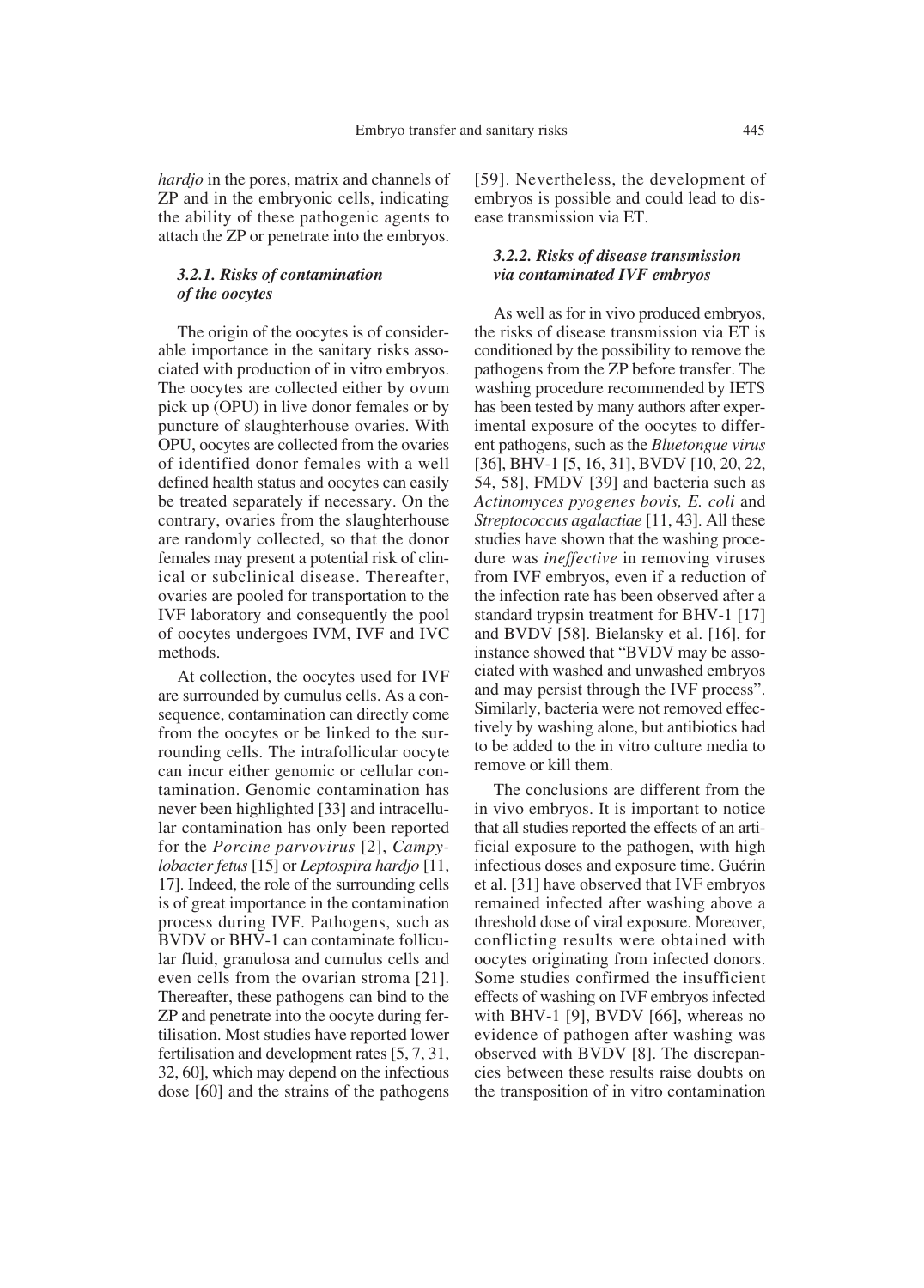*hardjo* in the pores, matrix and channels of ZP and in the embryonic cells, indicating the ability of these pathogenic agents to attach the ZP or penetrate into the embryos.

# *3.2.1. Risks of contamination of the oocytes*

The origin of the oocytes is of considerable importance in the sanitary risks associated with production of in vitro embryos. The oocytes are collected either by ovum pick up (OPU) in live donor females or by puncture of slaughterhouse ovaries. With OPU, oocytes are collected from the ovaries of identified donor females with a well defined health status and oocytes can easily be treated separately if necessary. On the contrary, ovaries from the slaughterhouse are randomly collected, so that the donor females may present a potential risk of clinical or subclinical disease. Thereafter, ovaries are pooled for transportation to the IVF laboratory and consequently the pool of oocytes undergoes IVM, IVF and IVC methods.

At collection, the oocytes used for IVF are surrounded by cumulus cells. As a consequence, contamination can directly come from the oocytes or be linked to the surrounding cells. The intrafollicular oocyte can incur either genomic or cellular contamination. Genomic contamination has never been highlighted [33] and intracellular contamination has only been reported for the *Porcine parvovirus* [2], *Campylobacter fetus* [15] or *Leptospira hardjo* [11, 17]. Indeed, the role of the surrounding cells is of great importance in the contamination process during IVF. Pathogens, such as BVDV or BHV-1 can contaminate follicular fluid, granulosa and cumulus cells and even cells from the ovarian stroma [21]. Thereafter, these pathogens can bind to the ZP and penetrate into the oocyte during fertilisation. Most studies have reported lower fertilisation and development rates [5, 7, 31, 32, 60], which may depend on the infectious dose [60] and the strains of the pathogens [59]. Nevertheless, the development of embryos is possible and could lead to disease transmission via ET.

#### *3.2.2. Risks of disease transmission via contaminated IVF embryos*

As well as for in vivo produced embryos, the risks of disease transmission via ET is conditioned by the possibility to remove the pathogens from the ZP before transfer. The washing procedure recommended by IETS has been tested by many authors after experimental exposure of the oocytes to different pathogens, such as the *Bluetongue virus* [36], BHV-1 [5, 16, 31], BVDV [10, 20, 22, 54, 58], FMDV [39] and bacteria such as *Actinomyces pyogenes bovis, E. coli* and *Streptococcus agalactiae* [11, 43]. All these studies have shown that the washing procedure was *ineffective* in removing viruses from IVF embryos, even if a reduction of the infection rate has been observed after a standard trypsin treatment for BHV-1 [17] and BVDV [58]. Bielansky et al. [16], for instance showed that "BVDV may be associated with washed and unwashed embryos and may persist through the IVF process". Similarly, bacteria were not removed effectively by washing alone, but antibiotics had to be added to the in vitro culture media to remove or kill them.

The conclusions are different from the in vivo embryos. It is important to notice that all studies reported the effects of an artificial exposure to the pathogen, with high infectious doses and exposure time. Guérin et al. [31] have observed that IVF embryos remained infected after washing above a threshold dose of viral exposure. Moreover, conflicting results were obtained with oocytes originating from infected donors. Some studies confirmed the insufficient effects of washing on IVF embryos infected with BHV-1 [9], BVDV [66], whereas no evidence of pathogen after washing was observed with BVDV [8]. The discrepancies between these results raise doubts on the transposition of in vitro contamination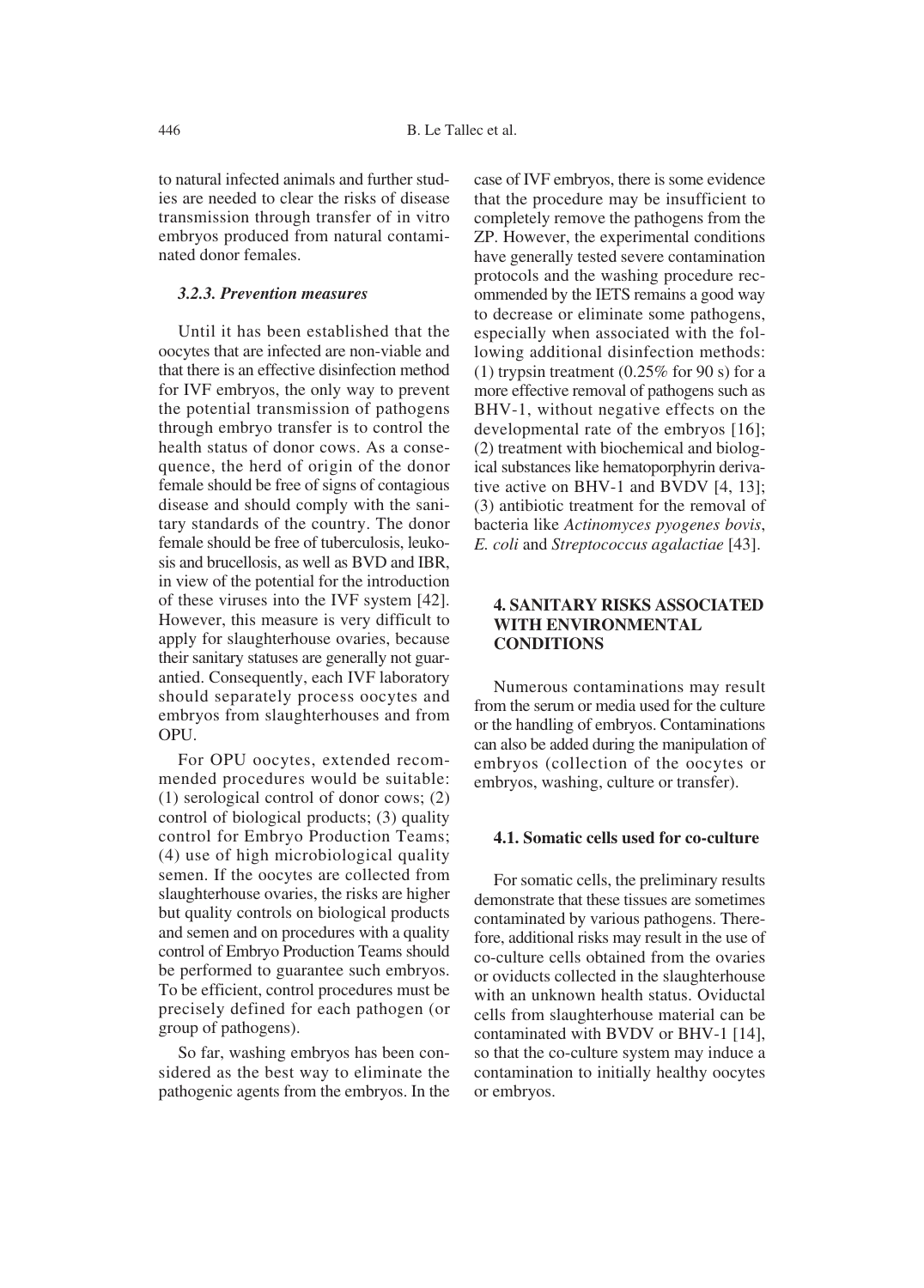to natural infected animals and further studies are needed to clear the risks of disease transmission through transfer of in vitro embryos produced from natural contaminated donor females.

#### *3.2.3. Prevention measures*

Until it has been established that the oocytes that are infected are non-viable and that there is an effective disinfection method for IVF embryos, the only way to prevent the potential transmission of pathogens through embryo transfer is to control the health status of donor cows. As a consequence, the herd of origin of the donor female should be free of signs of contagious disease and should comply with the sanitary standards of the country. The donor female should be free of tuberculosis, leukosis and brucellosis, as well as BVD and IBR, in view of the potential for the introduction of these viruses into the IVF system [42]. However, this measure is very difficult to apply for slaughterhouse ovaries, because their sanitary statuses are generally not guarantied. Consequently, each IVF laboratory should separately process oocytes and embryos from slaughterhouses and from OPU.

For OPU oocytes, extended recommended procedures would be suitable: (1) serological control of donor cows; (2) control of biological products; (3) quality control for Embryo Production Teams; (4) use of high microbiological quality semen. If the oocytes are collected from slaughterhouse ovaries, the risks are higher but quality controls on biological products and semen and on procedures with a quality control of Embryo Production Teams should be performed to guarantee such embryos. To be efficient, control procedures must be precisely defined for each pathogen (or group of pathogens).

So far, washing embryos has been considered as the best way to eliminate the pathogenic agents from the embryos. In the case of IVF embryos, there is some evidence that the procedure may be insufficient to completely remove the pathogens from the ZP. However, the experimental conditions have generally tested severe contamination protocols and the washing procedure recommended by the IETS remains a good way to decrease or eliminate some pathogens, especially when associated with the following additional disinfection methods: (1) trypsin treatment  $(0.25\%$  for 90 s) for a more effective removal of pathogens such as BHV-1, without negative effects on the developmental rate of the embryos [16]; (2) treatment with biochemical and biological substances like hematoporphyrin derivative active on BHV-1 and BVDV [4, 13]; (3) antibiotic treatment for the removal of bacteria like *Actinomyces pyogenes bovis*, *E. coli* and *Streptococcus agalactiae* [43].

# **4. SANITARY RISKS ASSOCIATED WITH ENVIRONMENTAL CONDITIONS**

Numerous contaminations may result from the serum or media used for the culture or the handling of embryos. Contaminations can also be added during the manipulation of embryos (collection of the oocytes or embryos, washing, culture or transfer).

#### **4.1. Somatic cells used for co-culture**

For somatic cells, the preliminary results demonstrate that these tissues are sometimes contaminated by various pathogens. Therefore, additional risks may result in the use of co-culture cells obtained from the ovaries or oviducts collected in the slaughterhouse with an unknown health status. Oviductal cells from slaughterhouse material can be contaminated with BVDV or BHV-1 [14], so that the co-culture system may induce a contamination to initially healthy oocytes or embryos.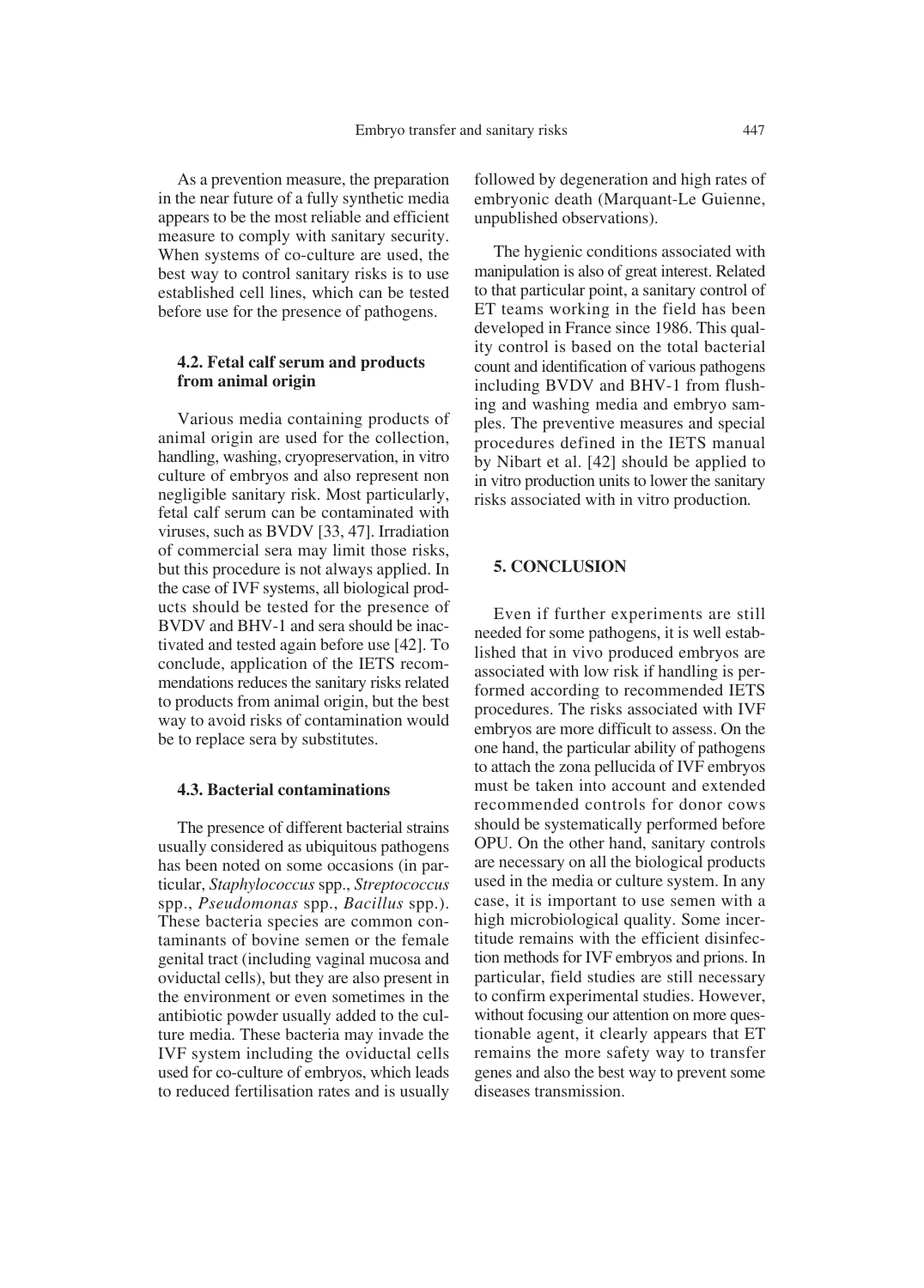As a prevention measure, the preparation in the near future of a fully synthetic media appears to be the most reliable and efficient measure to comply with sanitary security. When systems of co-culture are used, the best way to control sanitary risks is to use established cell lines, which can be tested before use for the presence of pathogens.

# **4.2. Fetal calf serum and products from animal origin**

Various media containing products of animal origin are used for the collection, handling, washing, cryopreservation, in vitro culture of embryos and also represent non negligible sanitary risk. Most particularly, fetal calf serum can be contaminated with viruses, such as BVDV [33, 47]. Irradiation of commercial sera may limit those risks, but this procedure is not always applied. In the case of IVF systems, all biological products should be tested for the presence of BVDV and BHV-1 and sera should be inactivated and tested again before use [42]. To conclude, application of the IETS recommendations reduces the sanitary risks related to products from animal origin, but the best way to avoid risks of contamination would be to replace sera by substitutes.

#### **4.3. Bacterial contaminations**

The presence of different bacterial strains usually considered as ubiquitous pathogens has been noted on some occasions (in particular, *Staphylococcus* spp., *Streptococcus* spp., *Pseudomonas* spp., *Bacillus* spp.). These bacteria species are common contaminants of bovine semen or the female genital tract (including vaginal mucosa and oviductal cells), but they are also present in the environment or even sometimes in the antibiotic powder usually added to the culture media. These bacteria may invade the IVF system including the oviductal cells used for co-culture of embryos, which leads to reduced fertilisation rates and is usually

followed by degeneration and high rates of embryonic death (Marquant-Le Guienne, unpublished observations).

The hygienic conditions associated with manipulation is also of great interest. Related to that particular point, a sanitary control of ET teams working in the field has been developed in France since 1986. This quality control is based on the total bacterial count and identification of various pathogens including BVDV and BHV-1 from flushing and washing media and embryo samples. The preventive measures and special procedures defined in the IETS manual by Nibart et al. [42] should be applied to in vitro production units to lower the sanitary risks associated with in vitro production*.*

## **5. CONCLUSION**

Even if further experiments are still needed for some pathogens, it is well established that in vivo produced embryos are associated with low risk if handling is performed according to recommended IETS procedures. The risks associated with IVF embryos are more difficult to assess. On the one hand, the particular ability of pathogens to attach the zona pellucida of IVF embryos must be taken into account and extended recommended controls for donor cows should be systematically performed before OPU. On the other hand, sanitary controls are necessary on all the biological products used in the media or culture system. In any case, it is important to use semen with a high microbiological quality. Some incertitude remains with the efficient disinfection methods for IVF embryos and prions. In particular, field studies are still necessary to confirm experimental studies. However, without focusing our attention on more questionable agent, it clearly appears that ET remains the more safety way to transfer genes and also the best way to prevent some diseases transmission.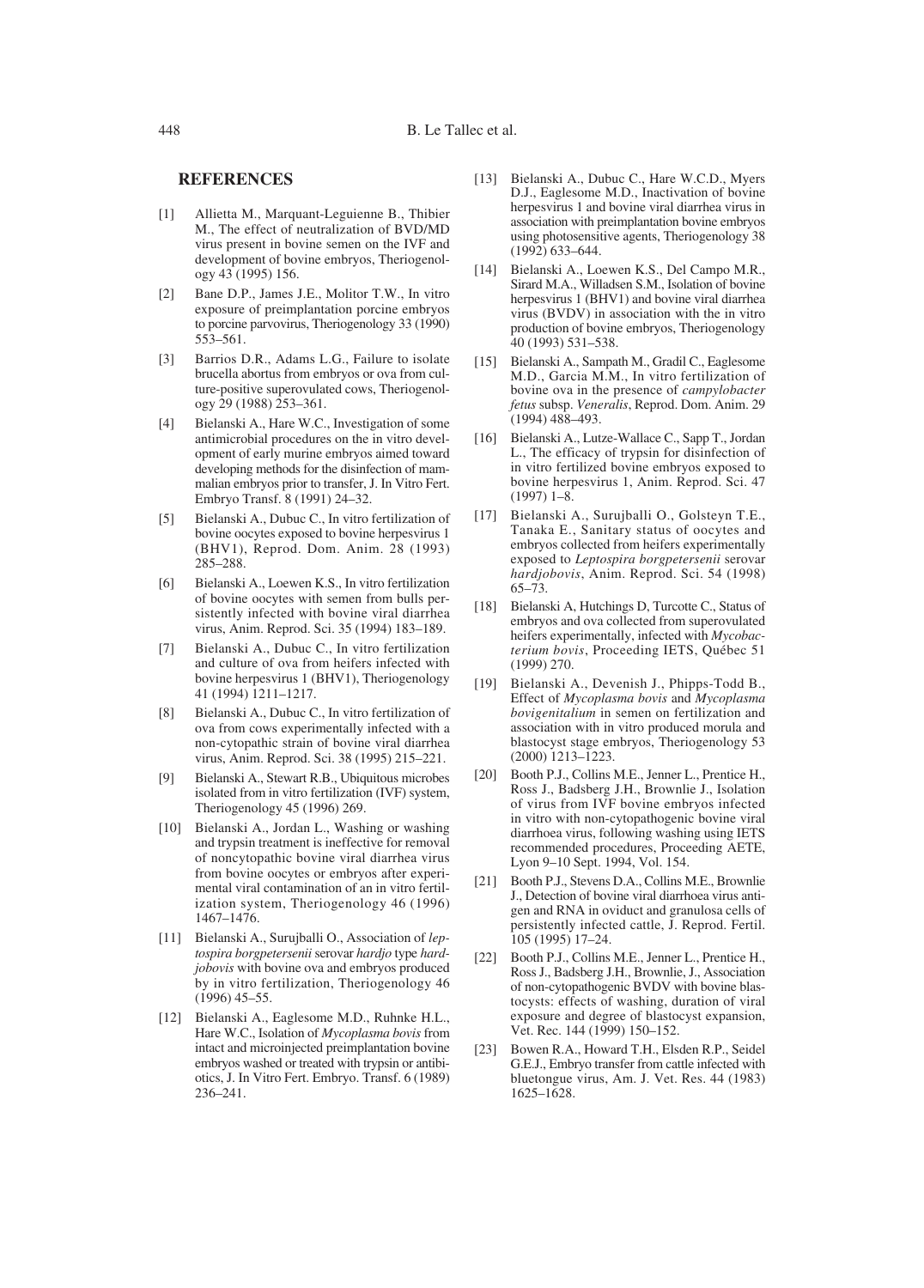# **REFERENCES**

- [1] Allietta M., Marquant-Leguienne B., Thibier M., The effect of neutralization of BVD/MD virus present in bovine semen on the IVF and development of bovine embryos, Theriogenology 43 (1995) 156.
- [2] Bane D.P., James J.E., Molitor T.W., In vitro exposure of preimplantation porcine embryos to porcine parvovirus, Theriogenology 33 (1990) 553–561.
- [3] Barrios D.R., Adams L.G., Failure to isolate brucella abortus from embryos or ova from culture-positive superovulated cows, Theriogenology 29 (1988) 253–361.
- [4] Bielanski A., Hare W.C., Investigation of some antimicrobial procedures on the in vitro development of early murine embryos aimed toward developing methods for the disinfection of mammalian embryos prior to transfer, J. In Vitro Fert. Embryo Transf. 8 (1991) 24–32.
- [5] Bielanski A., Dubuc C., In vitro fertilization of bovine oocytes exposed to bovine herpesvirus 1 (BHV1), Reprod. Dom. Anim. 28 (1993) 285–288.
- [6] Bielanski A., Loewen K.S., In vitro fertilization of bovine oocytes with semen from bulls persistently infected with bovine viral diarrhea virus, Anim. Reprod. Sci. 35 (1994) 183–189.
- [7] Bielanski A., Dubuc C., In vitro fertilization and culture of ova from heifers infected with bovine herpesvirus 1 (BHV1), Theriogenology 41 (1994) 1211–1217.
- [8] Bielanski A., Dubuc C., In vitro fertilization of ova from cows experimentally infected with a non-cytopathic strain of bovine viral diarrhea virus, Anim. Reprod. Sci. 38 (1995) 215–221.
- [9] Bielanski A., Stewart R.B., Ubiquitous microbes isolated from in vitro fertilization (IVF) system, Theriogenology 45 (1996) 269.
- [10] Bielanski A., Jordan L., Washing or washing and trypsin treatment is ineffective for removal of noncytopathic bovine viral diarrhea virus from bovine oocytes or embryos after experimental viral contamination of an in vitro fertilization system, Theriogenology 46 (1996) 1467–1476.
- [11] Bielanski A., Surujballi O., Association of *leptospira borgpetersenii* serovar *hardjo* type *hardjobovis* with bovine ova and embryos produced by in vitro fertilization, Theriogenology 46 (1996) 45–55.
- [12] Bielanski A., Eaglesome M.D., Ruhnke H.L., Hare W.C., Isolation of *Mycoplasma bovis* from intact and microinjected preimplantation bovine embryos washed or treated with trypsin or antibiotics, J. In Vitro Fert. Embryo. Transf. 6 (1989) 236–241.
- [13] Bielanski A., Dubuc C., Hare W.C.D., Myers D.J., Eaglesome M.D., Inactivation of bovine herpesvirus 1 and bovine viral diarrhea virus in association with preimplantation bovine embryos using photosensitive agents, Theriogenology 38 (1992) 633–644.
- [14] Bielanski A., Loewen K.S., Del Campo M.R., Sirard M.A., Willadsen S.M., Isolation of bovine herpesvirus 1 (BHV1) and bovine viral diarrhea virus (BVDV) in association with the in vitro production of bovine embryos, Theriogenology 40 (1993) 531–538.
- [15] Bielanski A., Sampath M., Gradil C., Eaglesome M.D., Garcia M.M., In vitro fertilization of bovine ova in the presence of *campylobacter fetus* subsp. *Veneralis*, Reprod. Dom. Anim. 29 (1994) 488–493.
- [16] Bielanski A., Lutze-Wallace C., Sapp T., Jordan L., The efficacy of trypsin for disinfection of in vitro fertilized bovine embryos exposed to bovine herpesvirus 1, Anim. Reprod. Sci. 47 (1997) 1–8.
- [17] Bielanski A., Surujballi O., Golsteyn T.E., Tanaka E., Sanitary status of oocytes and embryos collected from heifers experimentally exposed to *Leptospira borgpetersenii* serovar *hardjobovis*, Anim. Reprod. Sci. 54 (1998) 65–73.
- [18] Bielanski A, Hutchings D, Turcotte C., Status of embryos and ova collected from superovulated heifers experimentally, infected with *Mycobacterium bovis*, Proceeding IETS, Québec 51 (1999) 270.
- [19] Bielanski A., Devenish J., Phipps-Todd B., Effect of *Mycoplasma bovis* and *Mycoplasma bovigenitalium* in semen on fertilization and association with in vitro produced morula and blastocyst stage embryos, Theriogenology 53 (2000) 1213–1223.
- [20] Booth P.J., Collins M.E., Jenner L., Prentice H., Ross J., Badsberg J.H., Brownlie J., Isolation of virus from IVF bovine embryos infected in vitro with non-cytopathogenic bovine viral diarrhoea virus, following washing using IETS recommended procedures, Proceeding AETE, Lyon 9–10 Sept. 1994, Vol. 154.
- [21] Booth P.J., Stevens D.A., Collins M.E., Brownlie J., Detection of bovine viral diarrhoea virus antigen and RNA in oviduct and granulosa cells of persistently infected cattle, J. Reprod. Fertil. 105 (1995) 17–24.
- [22] Booth P.J., Collins M.E., Jenner L., Prentice H., Ross J., Badsberg J.H., Brownlie, J., Association of non-cytopathogenic BVDV with bovine blastocysts: effects of washing, duration of viral exposure and degree of blastocyst expansion, Vet. Rec. 144 (1999) 150–152.
- [23] Bowen R.A., Howard T.H., Elsden R.P., Seidel G.E.J., Embryo transfer from cattle infected with bluetongue virus, Am. J. Vet. Res. 44 (1983) 1625–1628.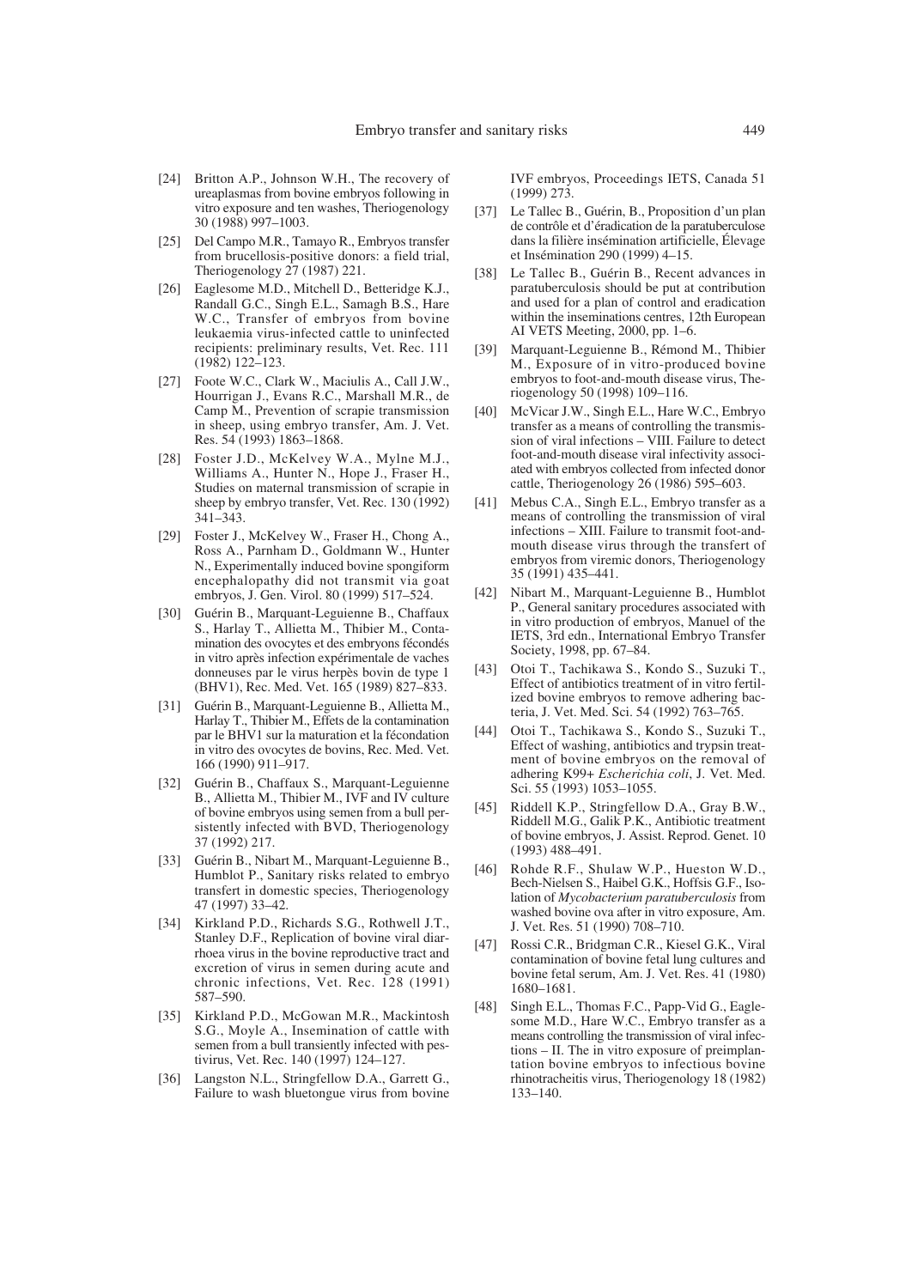- [24] Britton A.P., Johnson W.H., The recovery of ureaplasmas from bovine embryos following in vitro exposure and ten washes, Theriogenology 30 (1988) 997–1003.
- [25] Del Campo M.R., Tamayo R., Embryos transfer from brucellosis-positive donors: a field trial, Theriogenology 27 (1987) 221.
- [26] Eaglesome M.D., Mitchell D., Betteridge K.J., Randall G.C., Singh E.L., Samagh B.S., Hare W.C., Transfer of embryos from bovine leukaemia virus-infected cattle to uninfected recipients: preliminary results, Vet. Rec. 111 (1982) 122–123.
- [27] Foote W.C., Clark W., Maciulis A., Call J.W., Hourrigan J., Evans R.C., Marshall M.R., de Camp M., Prevention of scrapie transmission in sheep, using embryo transfer, Am. J. Vet. Res. 54 (1993) 1863–1868.
- [28] Foster J.D., McKelvey W.A., Mylne M.J., Williams A., Hunter N., Hope J., Fraser H., Studies on maternal transmission of scrapie in sheep by embryo transfer, Vet. Rec. 130 (1992) 341–343.
- [29] Foster J., McKelvey W., Fraser H., Chong A., Ross A., Parnham D., Goldmann W., Hunter N., Experimentally induced bovine spongiform encephalopathy did not transmit via goat embryos, J. Gen. Virol. 80 (1999) 517–524.
- [30] Guérin B., Marquant-Leguienne B., Chaffaux S., Harlay T., Allietta M., Thibier M., Contamination des ovocytes et des embryons fécondés in vitro après infection expérimentale de vaches donneuses par le virus herpès bovin de type 1 (BHV1), Rec. Med. Vet. 165 (1989) 827–833.
- [31] Guérin B., Marquant-Leguienne B., Allietta M., Harlay T., Thibier M., Effets de la contamination par le BHV1 sur la maturation et la fécondation in vitro des ovocytes de bovins, Rec. Med. Vet. 166 (1990) 911–917.
- [32] Guérin B., Chaffaux S., Marquant-Leguienne B., Allietta M., Thibier M., IVF and IV culture of bovine embryos using semen from a bull persistently infected with BVD, Theriogenology 37 (1992) 217.
- [33] Guérin B., Nibart M., Marquant-Leguienne B., Humblot P., Sanitary risks related to embryo transfert in domestic species, Theriogenology 47 (1997) 33–42.
- [34] Kirkland P.D., Richards S.G., Rothwell J.T., Stanley D.F., Replication of bovine viral diarrhoea virus in the bovine reproductive tract and excretion of virus in semen during acute and chronic infections, Vet. Rec. 128 (1991) 587–590.
- [35] Kirkland P.D., McGowan M.R., Mackintosh S.G., Moyle A., Insemination of cattle with semen from a bull transiently infected with pestivirus, Vet. Rec. 140 (1997) 124–127.
- [36] Langston N.L., Stringfellow D.A., Garrett G., Failure to wash bluetongue virus from bovine

IVF embryos, Proceedings IETS, Canada 51 (1999) 273.

- [37] Le Tallec B., Guérin, B., Proposition d'un plan de contrôle et d'éradication de la paratuberculose dans la filière insémination artificielle, Élevage et Insémination 290 (1999) 4–15.
- [38] Le Tallec B., Guérin B., Recent advances in paratuberculosis should be put at contribution and used for a plan of control and eradication within the inseminations centres, 12th European AI VETS Meeting, 2000, pp. 1–6.
- [39] Marquant-Leguienne B., Rémond M., Thibier M., Exposure of in vitro-produced bovine embryos to foot-and-mouth disease virus, Theriogenology 50 (1998) 109–116.
- [40] McVicar J.W., Singh E.L., Hare W.C., Embryo transfer as a means of controlling the transmission of viral infections – VIII. Failure to detect foot-and-mouth disease viral infectivity associated with embryos collected from infected donor cattle, Theriogenology 26 (1986) 595–603.
- [41] Mebus C.A., Singh E.L., Embryo transfer as a means of controlling the transmission of viral infections – XIII. Failure to transmit foot-andmouth disease virus through the transfert of embryos from viremic donors, Theriogenology 35 (1991) 435–441.
- [42] Nibart M., Marquant-Leguienne B., Humblot P., General sanitary procedures associated with in vitro production of embryos, Manuel of the IETS, 3rd edn., International Embryo Transfer Society, 1998, pp. 67–84.
- [43] Otoi T., Tachikawa S., Kondo S., Suzuki T., Effect of antibiotics treatment of in vitro fertilized bovine embryos to remove adhering bacteria, J. Vet. Med. Sci. 54 (1992) 763–765.
- [44] Otoi T., Tachikawa S., Kondo S., Suzuki T., Effect of washing, antibiotics and trypsin treatment of bovine embryos on the removal of adhering K99+ *Escherichia coli*, J. Vet. Med. Sci. 55 (1993) 1053–1055.
- [45] Riddell K.P., Stringfellow D.A., Gray B.W., Riddell M.G., Galik P.K., Antibiotic treatment of bovine embryos, J. Assist. Reprod. Genet. 10 (1993) 488–491.
- [46] Rohde R.F., Shulaw W.P., Hueston W.D., Bech-Nielsen S., Haibel G.K., Hoffsis G.F., Isolation of *Mycobacterium paratuberculosis* from washed bovine ova after in vitro exposure, Am. J. Vet. Res. 51 (1990) 708–710.
- [47] Rossi C.R., Bridgman C.R., Kiesel G.K., Viral contamination of bovine fetal lung cultures and bovine fetal serum, Am. J. Vet. Res. 41 (1980) 1680–1681.
- [48] Singh E.L., Thomas F.C., Papp-Vid G., Eaglesome M.D., Hare W.C., Embryo transfer as a means controlling the transmission of viral infections – II. The in vitro exposure of preimplantation bovine embryos to infectious bovine rhinotracheitis virus, Theriogenology 18 (1982) 133–140.